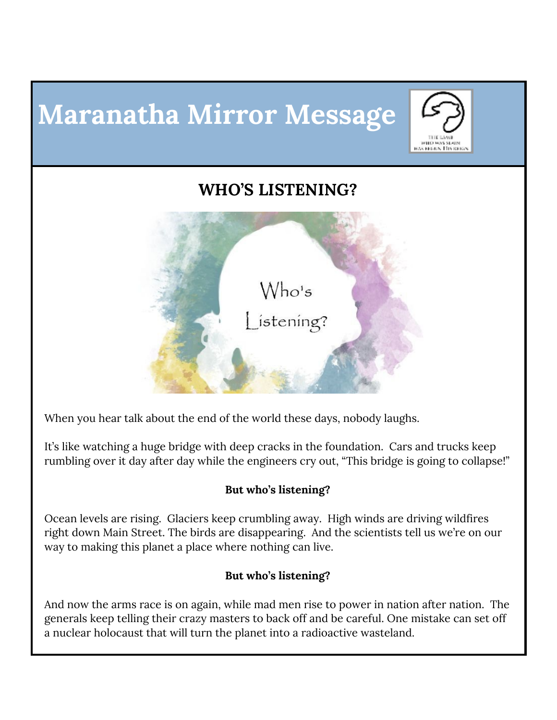# **Maranatha Mirror Message**



## **WHO'S LISTENING?**



When you hear talk about the end of the world these days, nobody laughs.

It's like watching a huge bridge with deep cracks in the foundation. Cars and trucks keep rumbling over it day after day while the engineers cry out, "This bridge is going to collapse!"

#### **But who's listening?**

Ocean levels are rising. Glaciers keep crumbling away. High winds are driving wildfires right down Main Street. The birds are disappearing. And the scientists tell us we're on our way to making this planet a place where nothing can live.

#### **But who's listening?**

And now the arms race is on again, while mad men rise to power in nation after nation. The generals keep telling their crazy masters to back off and be careful. One mistake can set off a nuclear holocaust that will turn the planet into a radioactive wasteland.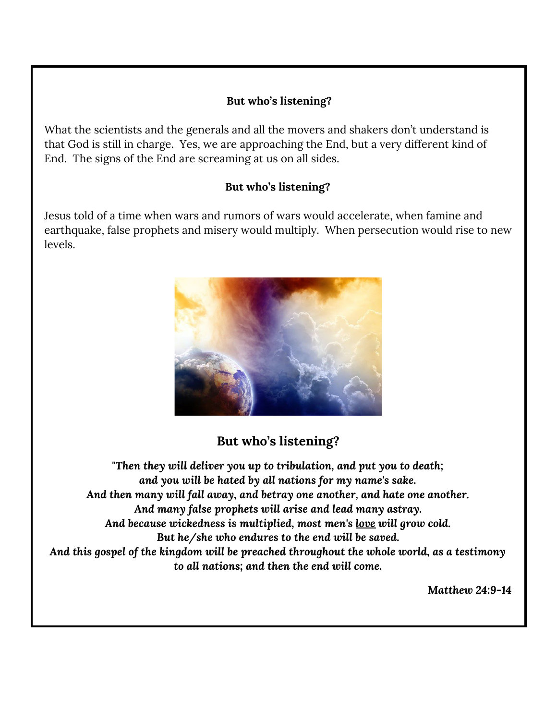#### **But who's listening?**

What the scientists and the generals and all the movers and shakers don't understand is that God is still in charge. Yes, we are approaching the End, but a very different kind of End. The signs of the End are screaming at us on all sides.

#### **But who's listening?**

Jesus told of a time when wars and rumors of wars would accelerate, when famine and earthquake, false prophets and misery would multiply. When persecution would rise to new levels.



### **But who's listening?**

*"Then they will deliver you up to tribulation, and put you to death; and you will be hated by all nations for my name's sake. And then many will fall away, and betray one another, and hate one another. And many false prophets will arise and lead many astray. And because wickedness is multiplied, most men's love will grow cold. But he/she who endures to the end will be saved. And this gospel of the kingdom will be preached throughout the whole world, as a testimony to all nations; and then the end will come.*

*Matthew 24:9-14*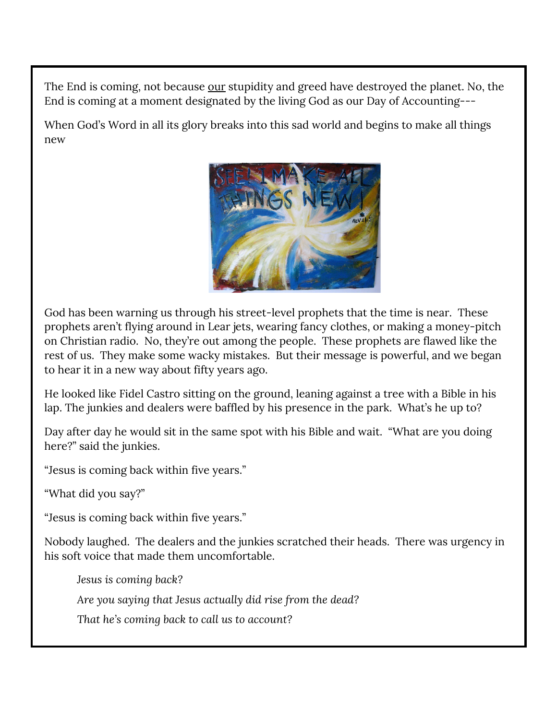The End is coming, not because our stupidity and greed have destroyed the planet. No, the End is coming at a moment designated by the living God as our Day of Accounting---

When God's Word in all its glory breaks into this sad world and begins to make all things new



God has been warning us through his street-level prophets that the time is near. These prophets aren't flying around in Lear jets, wearing fancy clothes, or making a money-pitch on Christian radio. No, they're out among the people. These prophets are flawed like the rest of us. They make some wacky mistakes. But their message is powerful, and we began to hear it in a new way about fifty years ago.

He looked like Fidel Castro sitting on the ground, leaning against a tree with a Bible in his lap. The junkies and dealers were baffled by his presence in the park. What's he up to?

Day after day he would sit in the same spot with his Bible and wait. "What are you doing here?" said the junkies.

"Jesus is coming back within five years."

"What did you say?"

"Jesus is coming back within five years."

Nobody laughed. The dealers and the junkies scratched their heads. There was urgency in his soft voice that made them uncomfortable.

*Jesus is coming back?*

*Are you saying that Jesus actually did rise from the dead?*

*That he's coming back to call us to account?*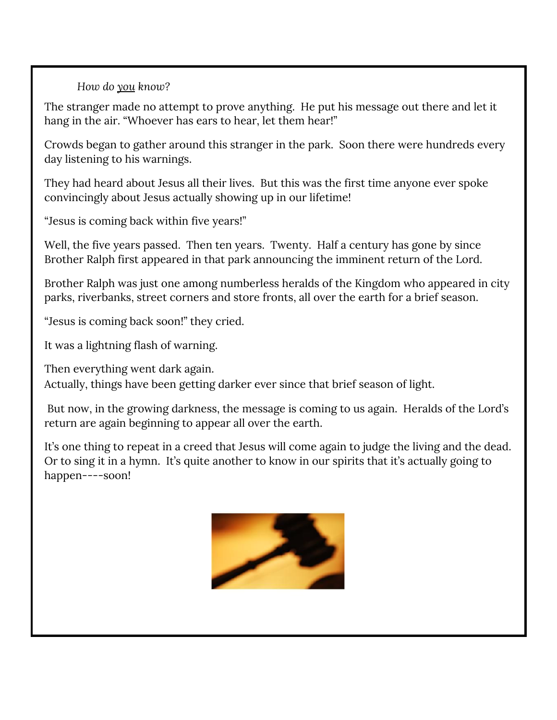*How do you know?*

The stranger made no attempt to prove anything. He put his message out there and let it hang in the air. "Whoever has ears to hear, let them hear!"

Crowds began to gather around this stranger in the park. Soon there were hundreds every day listening to his warnings.

They had heard about Jesus all their lives. But this was the first time anyone ever spoke convincingly about Jesus actually showing up in our lifetime!

"Jesus is coming back within five years!"

Well, the five years passed. Then ten years. Twenty. Half a century has gone by since Brother Ralph first appeared in that park announcing the imminent return of the Lord.

Brother Ralph was just one among numberless heralds of the Kingdom who appeared in city parks, riverbanks, street corners and store fronts, all over the earth for a brief season.

"Jesus is coming back soon!" they cried.

It was a lightning flash of warning.

Then everything went dark again.

Actually, things have been getting darker ever since that brief season of light.

But now, in the growing darkness, the message is coming to us again. Heralds of the Lord's return are again beginning to appear all over the earth.

It's one thing to repeat in a creed that Jesus will come again to judge the living and the dead. Or to sing it in a hymn. It's quite another to know in our spirits that it's actually going to happen----soon!

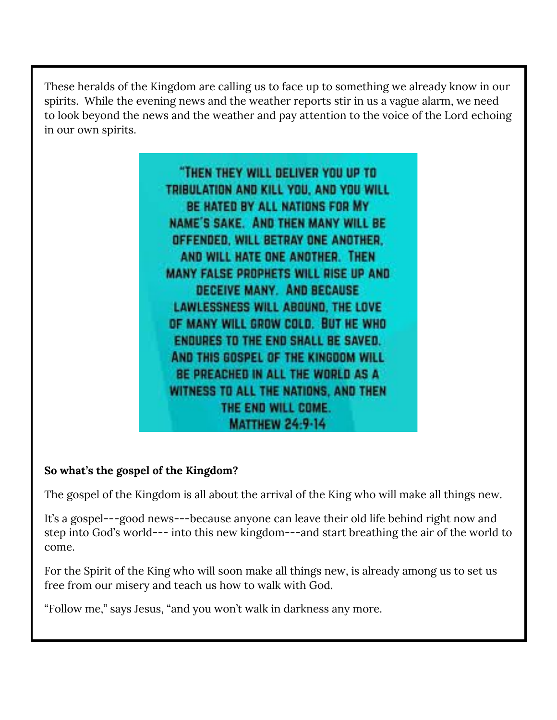These heralds of the Kingdom are calling us to face up to something we already know in our spirits. While the evening news and the weather reports stir in us a vague alarm, we need to look beyond the news and the weather and pay attention to the voice of the Lord echoing in our own spirits.

> "THEN THEY WILL DELIVER YOU UP TO TRIBULATION AND KILL YOU, AND YOU WILL BE HATED BY ALL NATIONS FOR MY NAME'S SAKE. AND THEN MANY WILL BE OFFENDED, WILL BETRAY ONE ANOTHER. AND WILL HATE ONE ANOTHER. THEN **MANY FALSE PROPHETS WILL RISE UP AND** DECEIVE MANY. AND BECAUSE LAWLESSNESS WILL ABOUND, THE LOVE OF MANY WILL GROW COLD. BUT HE WHO **ENDURES TO THE END SHALL BE SAVED.** AND THIS GOSPEL OF THE KINGDOM WILL BE PREACHED IN ALL THE WORLD AS A WITNESS TO ALL THE NATIONS, AND THEN THE END WILL COME. **MATTHEW 24:9-14**

#### **So what's the gospel of the Kingdom?**

The gospel of the Kingdom is all about the arrival of the King who will make all things new.

It's a gospel---good news---because anyone can leave their old life behind right now and step into God's world--- into this new kingdom---and start breathing the air of the world to come.

For the Spirit of the King who will soon make all things new, is already among us to set us free from our misery and teach us how to walk with God.

"Follow me," says Jesus, "and you won't walk in darkness any more.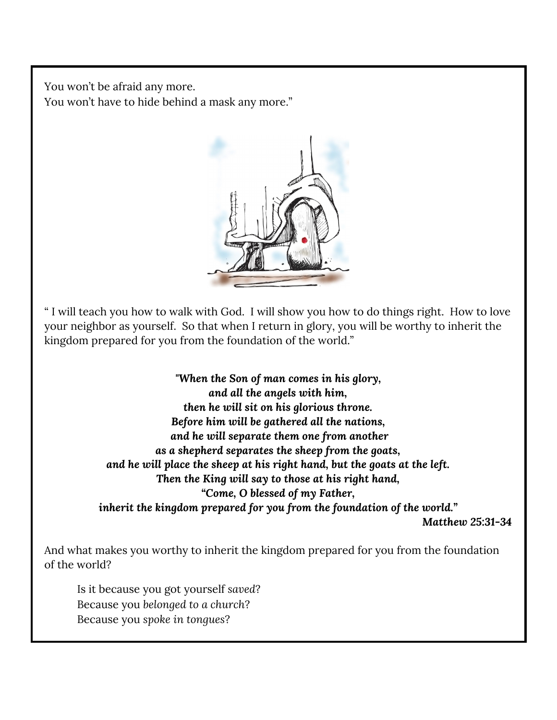You won't be afraid any more. You won't have to hide behind a mask any more."



" I will teach you how to walk with God. I will show you how to do things right. How to love your neighbor as yourself. So that when I return in glory, you will be worthy to inherit the kingdom prepared for you from the foundation of the world."

> *"When the Son of man comes in his glory, and all the angels with him, then he will sit on his glorious throne. Before him will be gathered all the nations, and he will separate them one from another as a shepherd separates the sheep from the goats, and he will place the sheep at his right hand, but the goats at the left. Then the King will say to those at his right hand, "Come, O blessed of my Father, inherit the kingdom prepared for you from the foundation of the world." Matthew 25:31-34*

And what makes you worthy to inherit the kingdom prepared for you from the foundation of the world?

Is it because you got yourself *saved*? Because you *belonged to a church*? Because you *spoke in tongues*?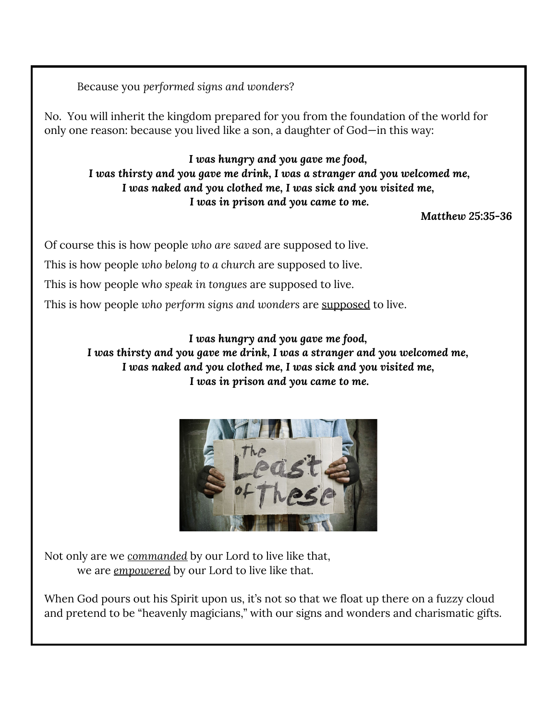Because you *performed signs and wonders*?

No. You will inherit the kingdom prepared for you from the foundation of the world for only one reason: because you lived like a son, a daughter of God—in this way:

*I was hungry and you gave me food, I was thirsty and you gave me drink, I was a stranger and you welcomed me, I was naked and you clothed me, I was sick and you visited me, I was in prison and you came to me.*

*Matthew 25:35-36*

Of course this is how people *who are saved* are supposed to live.

This is how people *who belong to a church* are supposed to live.

This is how people w*ho speak in tongues* are supposed to live.

This is how people *who perform signs and wonders* are supposed to live.

*I was hungry and you gave me food, I was thirsty and you gave me drink, I was a stranger and you welcomed me, I was naked and you clothed me, I was sick and you visited me, I was in prison and you came to me.*



Not only are we *commanded* by our Lord to live like that, we are *empowered* by our Lord to live like that.

When God pours out his Spirit upon us, it's not so that we float up there on a fuzzy cloud and pretend to be "heavenly magicians," with our signs and wonders and charismatic gifts.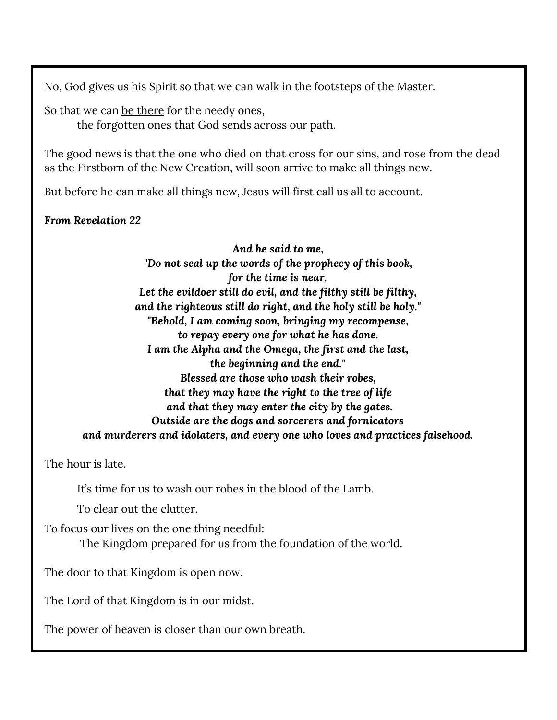No, God gives us his Spirit so that we can walk in the footsteps of the Master.

So that we can be there for the needy ones,

the forgotten ones that God sends across our path.

The good news is that the one who died on that cross for our sins, and rose from the dead as the Firstborn of the New Creation, will soon arrive to make all things new.

But before he can make all things new, Jesus will first call us all to account.

*From Revelation 22*

*And he said to me, "Do not seal up the words of the prophecy of this book, for the time is near. Let the evildoer still do evil, and the filthy still be filthy, and the righteous still do right, and the holy still be holy." "Behold, I am coming soon, bringing my recompense, to repay every one for what he has done. I am the Alpha and the Omega, the first and the last, the beginning and the end." Blessed are those who wash their robes, that they may have the right to the tree of life and that they may enter the city by the gates. Outside are the dogs and sorcerers and fornicators and murderers and idolaters, and every one who loves and practices falsehood.*

The hour is late.

It's time for us to wash our robes in the blood of the Lamb.

To clear out the clutter.

To focus our lives on the one thing needful:

The Kingdom prepared for us from the foundation of the world.

The door to that Kingdom is open now.

The Lord of that Kingdom is in our midst.

The power of heaven is closer than our own breath.